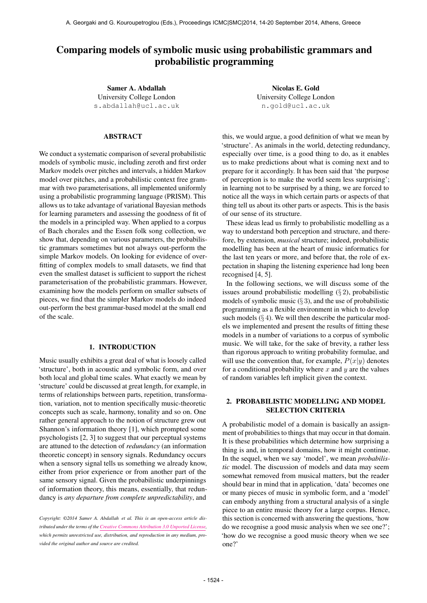# Comparing models of symbolic music using probabilistic grammars and probabilistic programming

Samer A. Abdallah University College London [s.abdallah@ucl.ac.uk](mailto:s.abdallah@ucl.ac.uk)

# ABSTRACT

We conduct a systematic comparison of several probabilistic models of symbolic music, including zeroth and first order Markov models over pitches and intervals, a hidden Markov model over pitches, and a probabilistic context free grammar with two parameterisations, all implemented uniformly using a probabilistic programming language (PRISM). This allows us to take advantage of variational Bayesian methods for learning parameters and assessing the goodness of fit of the models in a principled way. When applied to a corpus of Bach chorales and the Essen folk song collection, we show that, depending on various parameters, the probabilistic grammars sometimes but not always out-perform the simple Markov models. On looking for evidence of overfitting of complex models to small datasets, we find that even the smallest dataset is sufficient to support the richest parameterisation of the probabilistic grammars. However, examining how the models perform on smaller subsets of pieces, we find that the simpler Markov models do indeed out-perform the best grammar-based model at the small end of the scale.

#### 1. INTRODUCTION

Music usually exhibits a great deal of what is loosely called 'structure', both in acoustic and symbolic form, and over both local and global time scales. What exactly we mean by 'structure' could be discussed at great length, for example, in terms of relationships between parts, repetition, transformation, variation, not to mention specifically music-theoretic concepts such as scale, harmony, tonality and so on. One rather general approach to the notion of structure grew out Shannon's information theory [1], which prompted some psychologists [2, 3] to suggest that our perceptual systems are attuned to the detection of *redundancy* (an information theoretic concept) in sensory signals. Redundancy occurs when a sensory signal tells us something we already know, either from prior experience or from another part of the same sensory signal. Given the probabilistic underpinnings of information theory, this means, essentially, that redundancy is *any departure from complete unpredictability*, and

*Copyright: ©2014 Samer A. Abdallah et al. This is an open-access article distributed under the terms of the [Creative Commons Attribution 3.0 Unported License,](http://creativecommons.org/licenses/by/3.0/) which permits unrestricted use, distribution, and reproduction in any medium, provided the original author and source are credited.*

Nicolas E. Gold University College London [n.gold@ucl.ac.uk](mailto:n.gold@ucl.ac.uk)

this, we would argue, a good definition of what we mean by 'structure'. As animals in the world, detecting redundancy, especially over time, is a good thing to do, as it enables us to make predictions about what is coming next and to prepare for it accordingly. It has been said that 'the purpose of perception is to make the world seem less surprising'; in learning not to be surprised by a thing, we are forced to notice all the ways in which certain parts or aspects of that thing tell us about its other parts or aspects. This is the basis of our sense of its structure.

These ideas lead us firmly to probabilistic modelling as a way to understand both perception and structure, and therefore, by extension, *musical* structure; indeed, probabilistic modelling has been at the heart of music informatics for the last ten years or more, and before that, the role of expectation in shaping the listening experience had long been recognised [4, 5].

In the following sections, we will discuss some of the issues around probabilistic modelling (§ 2), probabilistic models of symbolic music  $(\S 3)$ , and the use of probabilistic programming as a flexible environment in which to develop such models  $(\S 4)$ . We will then describe the particular models we implemented and present the results of fitting these models in a number of variations to a corpus of symbolic music. We will take, for the sake of brevity, a rather less than rigorous approach to writing probability formulae, and will use the convention that, for example,  $P(x|y)$  denotes for a conditional probability where  $x$  and  $y$  are the values of random variables left implicit given the context.

# 2. PROBABILISTIC MODELLING AND MODEL SELECTION CRITERIA

A probabilistic model of a domain is basically an assignment of probabilities to things that may occur in that domain. It is these probabilities which determine how surprising a thing is and, in temporal domains, how it might continue. In the sequel, when we say 'model', we mean *probabilistic* model. The discussion of models and data may seem somewhat removed from musical matters, but the reader should bear in mind that in application, 'data' becomes one or many pieces of music in symbolic form, and a 'model' can embody anything from a structural analysis of a single piece to an entire music theory for a large corpus. Hence, this section is concerned with answering the questions, 'how do we recognise a good music analysis when we see one?'; 'how do we recognise a good music theory when we see one?'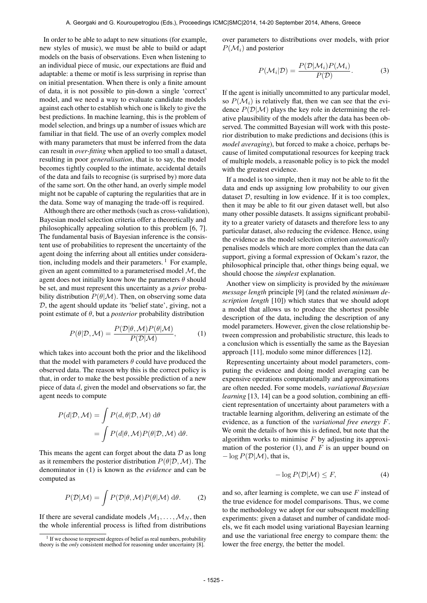In order to be able to adapt to new situations (for example, new styles of music), we must be able to build or adapt models on the basis of observations. Even when listening to an individual piece of music, our expectations are fluid and adaptable: a theme or motif is less surprising in reprise than on initial presentation. When there is only a finite amount of data, it is not possible to pin-down a single 'correct' model, and we need a way to evaluate candidate models against each other to establish which one is likely to give the best predictions. In machine learning, this is the problem of model selection, and brings up a number of issues which are familiar in that field. The use of an overly complex model with many parameters that must be inferred from the data can result in *over-fitting* when applied to too small a dataset, resulting in poor *generalisation*, that is to say, the model becomes tightly coupled to the intimate, accidental details of the data and fails to recognise (is surprised by) more data of the same sort. On the other hand, an overly simple model might not be capable of capturing the regularities that are in the data. Some way of managing the trade-off is required.

Although there are other methods (such as cross-validation), Bayesian model selection criteria offer a theoretically and philosophically appealing solution to this problem [6, 7]. The fundamental basis of Bayesian inference is the consistent use of probabilities to represent the uncertainty of the agent doing the inferring about all entities under consideration, including models and their parameters.  $\frac{1}{1}$  For example, given an agent committed to a parameterised model  $M$ , the agent does not initially know how the parameters  $\theta$  should be set, and must represent this uncertainty as a *prior* probability distribution  $P(\theta|\mathcal{M})$ . Then, on observing some data D, the agent should update its 'belief state', giving, not a point estimate of θ, but a *posterior* probability distribution

$$
P(\theta|\mathcal{D}, \mathcal{M}) = \frac{P(\mathcal{D}|\theta, \mathcal{M}) P(\theta|\mathcal{M})}{P(\mathcal{D}|\mathcal{M})},
$$
 (1)

which takes into account both the prior and the likelihood that the model with parameters  $\theta$  could have produced the observed data. The reason why this is the correct policy is that, in order to make the best possible prediction of a new piece of data d, given the model and observations so far, the agent needs to compute

$$
P(d|\mathcal{D}, \mathcal{M}) = \int P(d, \theta | \mathcal{D}, \mathcal{M}) d\theta
$$
  
= 
$$
\int P(d|\theta, \mathcal{M}) P(\theta | \mathcal{D}, \mathcal{M}) d\theta.
$$

This means the agent can forget about the data  $D$  as long as it remembers the posterior distribution  $P(\theta|\mathcal{D},\mathcal{M})$ . The denominator in (1) is known as the *evidence* and can be computed as

$$
P(\mathcal{D}|\mathcal{M}) = \int P(\mathcal{D}|\theta, \mathcal{M}) P(\theta|\mathcal{M}) \, d\theta.
$$
 (2)

If there are several candidate models  $M_1, \ldots, M_N$ , then the whole inferential process is lifted from distributions over parameters to distributions over models, with prior  $P(\mathcal{M}_i)$  and posterior

$$
P(\mathcal{M}_i|\mathcal{D}) = \frac{P(\mathcal{D}|\mathcal{M}_i)P(\mathcal{M}_i)}{P(\mathcal{D})}.
$$
 (3)

If the agent is initially uncommitted to any particular model, so  $P(\mathcal{M}_i)$  is relatively flat, then we can see that the evidence  $P(D|M)$  plays the key role in determining the relative plausibility of the models after the data has been observed. The committed Bayesian will work with this posterior distribution to make predictions and decisions (this is *model averaging*), but forced to make a choice, perhaps because of limited computational resources for keeping track of multiple models, a reasonable policy is to pick the model with the greatest evidence.

If a model is too simple, then it may not be able to fit the data and ends up assigning low probability to our given dataset D, resulting in low evidence. If it is too complex, then it may be able to fit our given dataset well, but also many other possible datasets. It assigns significant probability to a greater variety of datasets and therefore less to any particular dataset, also reducing the evidence. Hence, using the evidence as the model selection criterion *automatically* penalises models which are more complex than the data can support, giving a formal expression of Ockam's razor, the philosophical principle that, other things being equal, we should choose the *simplest* explanation.

Another view on simplicity is provided by the *minimum message length* principle [9] (and the related *minimum description length* [10]) which states that we should adopt a model that allows us to produce the shortest possible description of the data, including the description of any model parameters. However, given the close relationship between compression and probabilistic structure, this leads to a conclusion which is essentially the same as the Bayesian approach [11], modulo some minor differences [12].

Representing uncertainty about model parameters, computing the evidence and doing model averaging can be expensive operations computationally and approximations are often needed. For some models, *variational Bayesian learning* [13, 14] can be a good solution, combining an efficient representation of uncertainty about parameters with a tractable learning algorithm, delivering an estimate of the evidence, as a function of the *variational free energy* F. We omit the details of how this is defined, but note that the algorithm works to minimise  $F$  by adjusting its approximation of the posterior (1), and  $F$  is an upper bound on  $-\log P(\mathcal{D}|\mathcal{M})$ , that is,

$$
-\log P(\mathcal{D}|\mathcal{M}) \le F,\tag{4}
$$

and so, after learning is complete, we can use  $F$  instead of the true evidence for model comparisons. Thus, we come to the methodology we adopt for our subsequent modelling experiments: given a dataset and number of candidate models, we fit each model using variational Bayesian learning and use the variational free energy to compare them: the lower the free energy, the better the model.

<sup>&</sup>lt;sup>1</sup> If we choose to represent degrees of belief as real numbers, probability theory is the *only* consistent method for reasoning under uncertainty [8].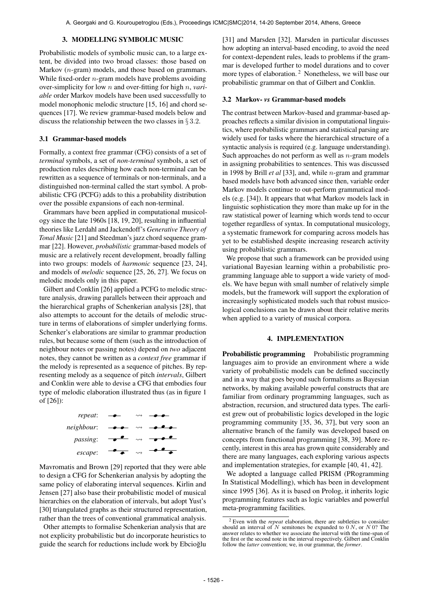## 3. MODELLING SYMBOLIC MUSIC

Probabilistic models of symbolic music can, to a large extent, be divided into two broad classes: those based on Markov (*n*-gram) models, and those based on grammars. While fixed-order  $n$ -gram models have problems avoiding over-simplicity for low n and over-fitting for high n, *variable* order Markov models have been used successfully to model monophonic melodic structure [15, 16] and chord sequences [17]. We review grammar-based models below and discuss the relationship between the two classes in  $\S 3.2$ .

## 3.1 Grammar-based models

Formally, a context free grammar (CFG) consists of a set of *terminal* symbols, a set of *non-terminal* symbols, a set of production rules describing how each non-terminal can be rewritten as a sequence of terminals or non-terminals, and a distinguished non-terminal called the start symbol. A probabilistic CFG (PCFG) adds to this a probability distribution over the possible expansions of each non-terminal.

Grammars have been applied in computational musicology since the late 1960s [18, 19, 20], resulting in influential theories like Lerdahl and Jackendoff's *Generative Theory of Tonal Music* [21] and Steedman's jazz chord sequence grammar [22]. However, *probabilistic* grammar-based models of music are a relatively recent development, broadly falling into two groups: models of *harmonic* sequence [23, 24], and models of *melodic* sequence [25, 26, 27]. We focus on melodic models only in this paper.

Gilbert and Conklin [26] applied a PCFG to melodic structure analysis, drawing parallels between their approach and the hierarchical graphs of Schenkerian analysis [28], that also attempts to account for the details of melodic structure in terms of elaborations of simpler underlying forms. Schenker's elaborations are similar to grammar production rules, but because some of them (such as the introduction of neighbour notes or passing notes) depend on *two* adjacent notes, they cannot be written as a *context free* grammar if the melody is represented as a sequence of pitches. By representing melody as a sequence of pitch *intervals*, Gilbert and Conklin were able to devise a CFG that embodies four type of melodic elaboration illustrated thus (as in figure 1 of [26]):



Mavromatis and Brown [29] reported that they were able to design a CFG for Schenkerian analysis by adopting the same policy of elaborating interval sequences. Kirlin and Jensen [27] also base their probabilistic model of musical hierarchies on the elaboration of intervals, but adopt Yust's [30] triangulated graphs as their structured representation, rather than the trees of conventional grammatical analysis.

Other attempts to formalise Schenkerian analysis that are not explicity probabilistic but do incorporate heuristics to guide the search for reductions include work by Ebcioglu [31] and Marsden [32]. Marsden in particular discusses how adopting an interval-based encoding, to avoid the need for context-dependent rules, leads to problems if the grammar is developed further to model durations and to cover more types of elaboration.<sup>2</sup> Nonetheless, we will base our probabilistic grammar on that of Gilbert and Conklin.

## 3.2 Markov- *vs* Grammar-based models

The contrast between Markov-based and grammar-based approaches reflects a similar division in computational linguistics, where probabilistic grammars and statistical parsing are widely used for tasks where the hierarchical structure of a syntactic analysis is required (e.g. language understanding). Such approaches do not perform as well as  $n$ -gram models in assigning probabilities to sentences. This was discussed in 1998 by Brill *et al* [33], and, while n-gram and grammar based models have both advanced since then, variable order Markov models continue to out-perform grammatical models (e.g. [34]). It appears that what Markov models lack in linguistic sophistication they more than make up for in the raw statistical power of learning which words tend to occur together regardless of syntax. In computational musicology, a systematic framework for comparing across models has yet to be established despite increasing research activity using probabilistic grammars.

We propose that such a framework can be provided using variational Bayesian learning within a probabilistic programming language able to support a wide variety of models. We have begun with small number of relatively simple models, but the framework will support the exploration of increasingly sophisticated models such that robust musicological conclusions can be drawn about their relative merits when applied to a variety of musical corpora.

#### 4. IMPLEMENTATION

**Probabilistic programming** Probabilistic programming languages aim to provide an environment where a wide variety of probabilistic models can be defined succinctly and in a way that goes beyond such formalisms as Bayesian networks, by making available powerful constructs that are familiar from ordinary programming languages, such as abstraction, recursion, and structured data types. The earliest grew out of probabilistic logics developed in the logic programming community [35, 36, 37], but very soon an alternative branch of the family was developed based on concepts from functional programming [38, 39]. More recently, interest in this area has grown quite considerably and there are many languages, each exploring various aspects and implementation strategies, for example [40, 41, 42].

We adopted a language called PRISM (PRogramming In Statistical Modelling), which has been in development since 1995 [36]. As it is based on Prolog, it inherits logic programming features such as logic variables and powerful meta-programming facilities.

<sup>2</sup> Even with the *repeat* elaboration, there are subtleties to consider: should an interval of  $N$  semitones be expanded to  $0 N$ , or  $N 0$ ? The answer relates to whether we associate the interval with the time-span of the first or the second note in the interval respectively. Gilbert and Conklin follow the *latter* convention; we, in our grammar, the *former*.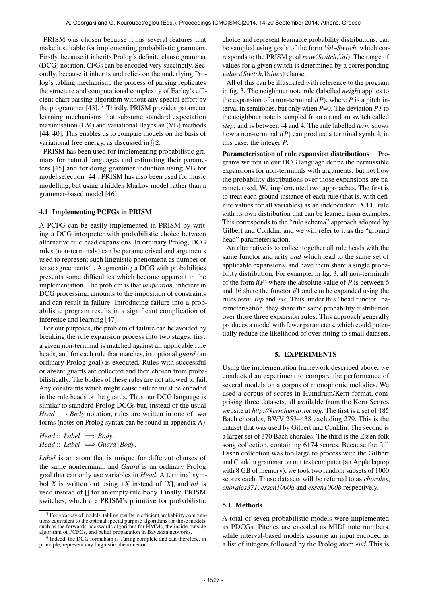PRISM was chosen because it has several features that make it suitable for implementing probabilistic grammars. Firstly, because it inherits Prolog's definite clause grammar (DCG) notation, CFGs can be encoded very succinctly. Secondly, because it inherits and relies on the underlying Prolog's tabling mechanism, the process of parsing replicates the structure and computational complexity of Earley's efficient chart parsing algorithm without any special effort by the programmer [43].<sup>3</sup> Thirdly, PRISM provides parameter learning mechanisms that subsume standard expectation maximisation (EM) and variational Bayesian (VB) methods [44, 40]. This enables us to compare models on the basis of variational free energy, as discussed in § 2.

PRISM has been used for implementing probabilistic gramars for natural languages and estimating their parameters [45] and for doing grammar induction using VB for model selection [44]. PRISM has also been used for music modelling, but using a hidden Markov model rather than a grammar-based model [46].

## 4.1 Implementing PCFGs in PRISM

A PCFG can be easily implemented in PRISM by writing a DCG interpreter with probabilistic choice between alternative rule head expansions. In ordinary Prolog, DCG rules (non-terminals) can be parameterised and arguments used to represent such linguistic phenomena as number or tense agreements<sup>4</sup>. Augmenting a DCG with probabilities presents some difficulties which become apparent in the implementation. The problem is that *unification*, inherent in DCG processing, amounts to the imposition of constraints and can result in failure. Introducing failure into a probabilistic program results in a significant complication of inference and learning [47].

For our purposes, the problem of failure can be avoided by breaking the rule expansion process into two stages: first, a given non-terminal is matched against all applicable rule heads, and for each rule that matches, its optional *guard* (an ordinary Prolog goal) is executed. Rules with successful or absent guards are collected and then chosen from probabilistically. The bodies of these rules are not allowed to fail. Any constraints which might cause failure must be encoded in the rule heads or the guards. Thus our DCG language is similar to standard Prolog DCGs but, instead of the usual *Head* → *Body* notation, rules are written in one of two forms (notes on Prolog syntax can be found in appendix A):

*Head* :: *Label*  $\implies$  *Body*. *Head* :: *Label*  $\implies$  *Guard*  $|$ *Body*.

*Label* is an atom that is unique for different clauses of the same nonterminal, and *Guard* is an ordinary Prolog goal that can only use variables in *Head*. A terminal symbol *X* is written out using +*X* instead of [*X*], and *nil* is used instead of [] for an empty rule body. Finally, PRISM switches, which are PRISM's primitive for probabilistic

choice and represent learnable probability distributions, can be sampled using goals of the form *Val*~*Switch*, which corresponds to the PRISM goal *msw*(*Switch*,*Val*). The range of values for a given switch is determined by a corresponding *values*(*Switch*,*Values*) clause.

All of this can be illustrated with reference to the program in fig. 3. The neighbour note rule (labelled *neigh*) applies to the expansion of a non-terminal  $i(P)$ , where  $P$  is a pitch interval in semitones, but only when *P*=0. The deviation *P1* to the neighbour note is sampled from a random switch called *step*, and is between -4 and 4. The rule labelled *term* shows how a non-terminal *i*(*P*) can produce a terminal symbol, in this case, the integer *P*.

Parameterisation of rule expansion distributions Programs written in our DCG language define the permissible expansions for non-terminals with arguments, but not how the probability distributions over those expansions are parameterised. We implemented two approaches. The first is to treat each ground instance of each rule (that is, with definite values for all variables) as an independent PCFG rule with its own distribution that can be learned from examples. This corresponds to the "rule schema" approach adopted by Gilbert and Conklin, and we will refer to it as the "ground head" parameterisation.

An alternative is to collect together all rule heads with the same functor and arity *and* which lead to the same set of applicable expansions, and have them share a single probability distribution. For example, in fig. 3, all non-terminals of the form *i*(*P*) where the absolute value of *P* is between 6 and 16 share the functor *i*/1 and can be expanded using the rules *term*, *rep* and *esc*. Thus, under this "head functor" parameterisation, they share the same probability distribution over those three expansion rules. This approach generally produces a model with fewer parameters, which could potentially reduce the likelihood of over-fitting to small datasets.

## 5. EXPERIMENTS

Using the implementation framework described above, we conducted an experiment to compare the performance of several models on a corpus of monophonic melodies. We used a corpus of scores in Humdrum/Kern format, comprising three datasets, all available from the Kern Scores website at *<http://kern.humdrum.org>*. The first is a set of 185 Bach chorales, BWV 253–438 excluding 279. This is the dataset that was used by Gilbert and Conklin. The second is a larger set of 370 Bach chorales. The third is the Essen folk song collection, containing 6174 scores. Because the full Essen collection was too large to process with the Gilbert and Conklin grammar on our test computer (an Apple laptop with 8 GB of memory), we took two random subsets of 1000 scores each. These datasets will be referred to as *chorales*, *chorales371*, *essen1000a* and *essen1000b* respectively.

# 5.1 Methods

A total of seven probabilistic models were implemented as PDCGs. Pitches are encoded as MIDI note numbers, while interval-based models assume an input encoded as a list of integers followed by the Prolog atom *end*. This is

 $3$  For a variety of models, tabling results in efficient probability computations equivalent to the optimal special purpose algorithms for those models, such as the forwards-backwards algorithm for HMMs, the inside-outside algorithm of PCFGs, and belief propagation in Bayesian networks.

<sup>4</sup> Indeed, the DCG formalism is Turing complete and can therefore, in principle, represent any linguistic phenomenon.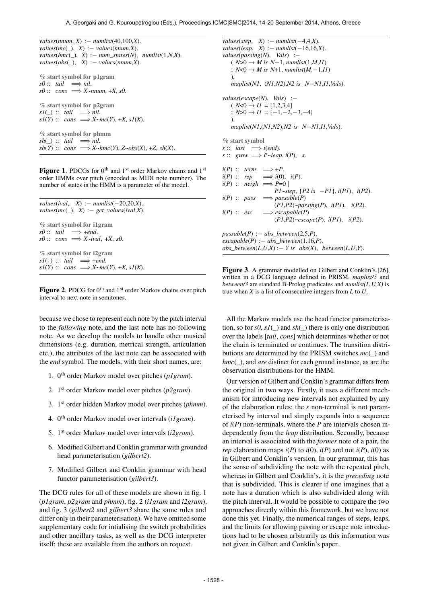*values*(*nnum*, *X*) :− *numlist*(40,100,*X*).  $values(mc(\_), X) := values(nnum,X).$  $values(hmc(\_), X) := num\_states(N), numlist(1,N,X).$ *values*(*obs*(*\_*), *X*) :− *values*(*nnum*,*X*). % start symbol for p1gram  $s0$  :: *tail*  $\implies$  *nil.*  $s0$  :: *cons*  $\implies$  *X*~*nnum*, +*X*, *s0*. % start symbol for p2gram  $sI(\_) :: tail \implies nil.$  $sI(Y) :: cons \implies X \sim mc(Y), +X, sI(X).$ % start symbol for phmm  $sh(\_):$  *tail*  $\implies$  *nil.*  $sh(Y)$  :: *cons*  $\implies$ *X*~*hmc*(*Y*), *Z*~ $obs(X)$ , +*Z*,  $sh(X)$ .

Figure 1. PDCGs for 0<sup>th</sup> and 1<sup>st</sup> order Markov chains and 1<sup>st</sup> order HMMs over pitch (encoded as MIDI note number). The number of states in the HMM is a parameter of the model.

```
values(ival, X) := numlist(-20, 20, X).values(mc(\_), X) := get\_values(ival,X).% start symbol for i1gram
s0 :: tail \implies +end.
s0 :: cons \implies X \sim ival, \pm X, \ s0.% start symbol for i2gram
sI(\_): tail \implies +end.
sI(Y) :: cons \implies X~mc(Y), +X, s1(X).
```
Figure 2. PDCG for 0<sup>th</sup> and 1<sup>st</sup> order Markov chains over pitch interval to next note in semitones.

because we chose to represent each note by the pitch interval to the *following* note, and the last note has no following note. As we develop the models to handle other musical dimensions (e.g. duration, metrical strength, articulation etc.), the attributes of the last note can be associated with the *end* symbol. The models, with their short names, are:

- 1. 0th order Markov model over pitches (*p1gram*).
- 2. 1st order Markov model over pitches (*p2gram*).
- 3. 1st order hidden Markov model over pitches (*phmm*).
- 4. 0th order Markov model over intervals (*i1gram*).
- 5. 1st order Markov model over intervals (*i2gram*).
- 6. Modified Gilbert and Conklin grammar with grounded head parameterisation (*gilbert2*).
- 7. Modified Gilbert and Conklin grammar with head functor parameterisation (*gilbert3*).

The DCG rules for all of these models are shown in fig. 1 (*p1gram*, *p2gram* and *phmm*), fig. 2 (*i1gram* and *i2gram*), and fig. 3 (*gilbert2* and *gilbert3* share the same rules and differ only in their parameterisation). We have omitted some supplementary code for intialising the switch probabilities and other ancillary tasks, as well as the DCG interpreter itself; these are available from the authors on request.

*values*(*step*, *X*) :− *numlist*(−4,4,*X*). *values*(*leap*, *X*) :− *numlist*(−16,16,*X*). *values*(*passing*(*N*), *Vals*) :−  $(N>0 → M$  is  $N-1$ , *numlist*(1,*M*,*II*) ;  $N < 0$  → *M* is  $N+1$ , *numlist*(*M*,−1,*II*) ), *maplist*(*N1*, (*N1*,*N2*),*N2 is N*−*N1*,*I1*,*Vals*). *values*(*escape*(*N*), *Vals*) :−  $(N<0 \rightarrow II = [1,2,3,4]$ ;  $N>0 \rightarrow II = [-1,-2,-3,-4]$ ), *maplist*(*N1*,(*N1*,*N2*),*N2 is N*−*N1*,*I1*,*Vals*). % start symbol  $s :: \text{last} \implies i(\text{end}).$  $s :: grow \implies P \sim leap, i(P), s.$  $i(P)$  :: *term*  $\implies$  +*P*.  $i(P)$  :: *rep*  $\implies$   $i(0)$ ,  $i(P)$ .  $i(P) :: \text{neigh} \implies P=0$ *P1*~*step*, {*P2 is* −*P1*}, *i*(*P1*), *i*(*P2*).  $i(P) :: \text{pass } \implies \text{passable}(P)$ (*P1*,*P2*)~*passing*(*P*), *i*(*P1*), *i*(*P2*). *i*(*P*) :: *esc* =⇒ *escapable*(*P*) | (*P1*,*P2*)~*escape*(*P*), *i*(*P1*), *i*(*P2*). *passable*(*P*) :− *abs\_between*(2,5,*P*).  $\textit{escapeable}(P) := abs\_between(1,16,P).$  $abs\_between(L, U, X) := Y$  is  $abs(X)$ ,  $between(L, U, Y)$ .

Figure 3. A grammar modelled on Gilbert and Conklin's [26], written in a DCG language defined in PRISM. *maplist/5* and *between/3* are standard B-Prolog predicates and *numlist(L,U,X)* is true when *X* is a list of consecutive integers from *L* to *U*.

All the Markov models use the head functor parameterisation, so for  $s0$ ,  $s1()$  and  $sh()$  there is only one distribution over the labels [*tail*, *cons*] which determines whether or not the chain is terminated or continues. The transition distributions are determined by the PRISM switches *mc*(*\_*) and *hmc*(*)*, and *are* distinct for each ground instance, as are the observation distributions for the HMM.

Our version of Gilbert and Conklin's grammar differs from the original in two ways. Firstly, it uses a different mechanism for introducing new intervals not explained by any of the elaboration rules: the *s* non-terminal is not parameterised by interval and simply expands into a sequence of *i*(*P*) non-terminals, where the *P* are intervals chosen independently from the *leap* distribution. Secondly, because an interval is associated with the *former* note of a pair, the *rep* elaboration maps  $i(P)$  to  $i(0)$ ,  $i(P)$  and not  $i(P)$ ,  $i(0)$  as in Gilbert and Conklin's version. In our grammar, this has the sense of subdividing the note with the repeated pitch, whereas in Gilbert and Conklin's, it is the *preceding* note that is subdivided. This is clearer if one imagines that a note has a duration which is also subdivided along with the pitch interval. It would be possible to compare the two approaches directly within this framework, but we have not done this yet. Finally, the numerical ranges of steps, leaps, and the limits for allowing passing or escape note introductions had to be chosen arbitrarily as this information was not given in Gilbert and Conklin's paper.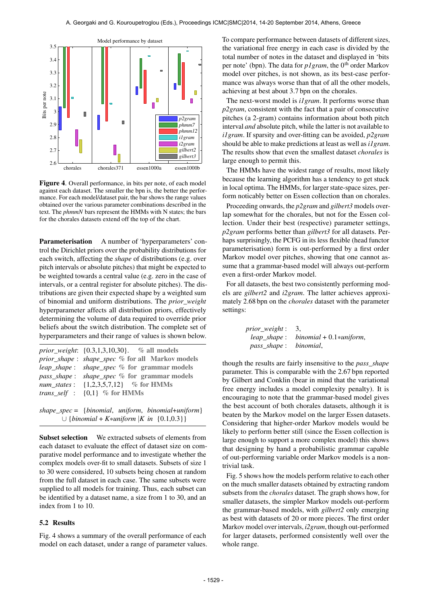

Figure 4. Overall performance, in bits per note, of each model against each dataset. The smaller the bpn is, the better the performance. For each model/dataset pair, the bar shows the range values obtained over the various parameter combinations described in the text. The *phmmN* bars represent the HMMs with N states; the bars for the chorales datasets extend off the top of the chart.

Parameterisation A number of 'hyperparameters' control the Dirichlet priors over the probability distributions for each switch, affecting the *shape* of distributions (e.g. over pitch intervals or absolute pitches) that might be expected to be weighted towards a central value (e.g. zero in the case of intervals, or a central register for absolute pitches). The distributions are given their expected shape by a weighted sum of binomial and uniform distributions. The *prior\_weight* hyperparameter affects all distribution priors, effectively determining the volume of data required to override prior beliefs about the switch distribution. The complete set of hyperparameters and their range of values is shown below.

| <i>prior_weight</i> : $\{0.3, 1, 3, 10, 30\}$ . % all models                            |
|-----------------------------------------------------------------------------------------|
| prior_shape: shape_spec % for all Markov models                                         |
| <i>leap_shape: shape_spec %</i> for grammar models                                      |
| <i>pass_shape: shape_spec %</i> for grammar models                                      |
| <i>num states</i> : $\{1,2,3,5,7,12\}$ % for HMMs                                       |
| <i>trans_self</i> : $\{0,1\}$ % for HMMs                                                |
|                                                                                         |
| $(1 \cdot \cdot \cdot 1 \cdot \cdot c)$ is the set of $(1 \cdot \cdot \cdot 1 \cdot c)$ |

*shape\_spec* = {*binomial*, *uniform*, *binomial*+*uniform*} ∪ {*binomial* + *K*\**uniform* |*K in* {0.1,0.3}}

Subset selection We extracted subsets of elements from each dataset to evaluate the effect of dataset size on comparative model performance and to investigate whether the complex models over-fit to small datasets. Subsets of size 1 to 30 were considered, 10 subsets being chosen at random from the full dataset in each case. The same subsets were supplied to all models for training. Thus, each subset can be identified by a dataset name, a size from 1 to 30, and an index from 1 to 10.

#### 5.2 Results

Fig. 4 shows a summary of the overall performance of each model on each dataset, under a range of parameter values. To compare performance between datasets of different sizes, the variational free energy in each case is divided by the total number of notes in the dataset and displayed in 'bits per note' (bpn). The data for *p1gram*, the 0<sup>th</sup> order Markov model over pitches, is not shown, as its best-case performance was always worse than that of all the other models, achieving at best about 3.7 bpn on the chorales.

The next-worst model is *i1gram*. It performs worse than *p2gram*, consistent with the fact that a pair of consecutive pitches (a 2-gram) contains information about both pitch interval *and* absolute pitch, while the latter is not available to *i1gram*. If sparsity and over-fitting can be avoided, *p2gram* should be able to make predictions at least as well as *i1gram*. The results show that even the smallest dataset *chorales* is large enough to permit this.

The HMMs have the widest range of results, most likely because the learning algorithm has a tendency to get stuck in local optima. The HMMs, for larger state-space sizes, perform noticably better on Essen collection than on chorales.

Proceeding onwards, the *p2gram* and *gilbert3* models overlap somewhat for the chorales, but not for the Essen collection. Under their best (respective) parameter settings, *p2gram* performs better than *gilbert3* for all datasets. Perhaps surprisingly, the PCFG in its less flexible (head functor parameterisation) form is out-performed by a first order Markov model over pitches, showing that one cannot assume that a grammar-based model will always out-perform even a first-order Markov model.

For all datasets, the best two consistently performing models are *gilbert2* and *i2gram*. The latter achieves approximately 2.68 bpn on the *chorales* dataset with the parameter settings:

| <i>prior_weight</i> : 3, |                                        |
|--------------------------|----------------------------------------|
|                          | $leap\_shape: binomial + 0.1*uniform,$ |
| pass_shape: binomial,    |                                        |

though the results are fairly insensitive to the *pass\_shape* parameter. This is comparable with the 2.67 bpn reported by Gilbert and Conklin (bear in mind that the variational free energy includes a model complexity penalty). It is encouraging to note that the grammar-based model gives the best account of both chorales datasets, although it is beaten by the Markov model on the larger Essen datasets. Considering that higher-order Markov models would be likely to perform better still (since the Essen collection is large enough to support a more complex model) this shows that designing by hand a probabilistic grammar capable of out-performing variable order Markov models is a nontrivial task.

Fig. 5 shows how the models perform relative to each other on the much smaller datasets obtained by extracting random subsets from the *chorales* dataset. The graph shows how, for smaller datasets, the simpler Markov models out-perform the grammar-based models, with *gilbert2* only emerging as best with datasets of 20 or more pieces. The first order Markov model over intervals, *i2gram*, though out-performed for larger datasets, performed consistently well over the whole range.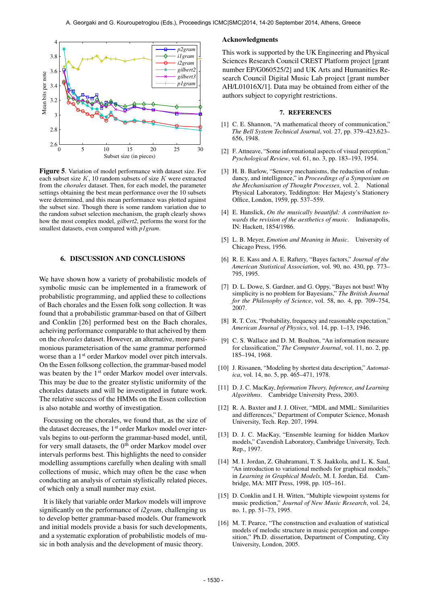

Figure 5. Variation of model performance with dataset size. For each subset size  $K$ , 10 random subsets of size  $K$  were extracted from the *chorales* dataset. Then, for each model, the parameter settings obtaining the best mean performance over the 10 subsets were determined, and this mean performance was plotted against the subset size. Though there is some random variation due to the random subset selection mechanism, the graph clearly shows how the most complex model, *gilbert2*, performs the worst for the smallest datasets, even compared with *p1gram*.

## 6. DISCUSSION AND CONCLUSIONS

We have shown how a variety of probabilistic models of symbolic music can be implemented in a framework of probabilistic programming, and applied these to collections of Bach chorales and the Essen folk song collection. It was found that a probabilistic grammar-based on that of Gilbert and Conklin [26] performed best on the Bach chorales, acheiving performance comparable to that acheived by them on the *chorales* dataset. However, an alternative, more parsimonious parameterisation of the same grammar performed worse than a 1<sup>st</sup> order Markov model over pitch intervals. On the Essen folksong collection, the grammar-based model was beaten by the 1<sup>st</sup> order Markov model over intervals. This may be due to the greater stylistic uniformity of the chorales datasets and will be investigated in future work. The relative success of the HMMs on the Essen collection is also notable and worthy of investigation.

Focussing on the chorales, we found that, as the size of the dataset decreases, the 1<sup>st</sup> order Markov model over intervals begins to out-perform the grammar-based model, until, for very small datasets, the 0<sup>th</sup> order Markov model over intervals performs best. This highlights the need to consider modelling assumptions carefully when dealing with small collections of music, which may often be the case when conducting an analysis of certain stylistically related pieces, of which only a small number may exist.

It is likely that variable order Markov models will improve significantly on the performance of *i2gram*, challenging us to develop better grammar-based models. Our framework and initial models provide a basis for such developments, and a systematic exploration of probabilistic models of music in both analysis and the development of music theory.

#### Acknowledgments

This work is supported by the UK Engineering and Physical Sciences Research Council CREST Platform project [grant number EP/G060525/2] and UK Arts and Humanities Research Council Digital Music Lab project [grant number AH/L01016X/1]. Data may be obtained from either of the authors subject to copyright restrictions.

#### 7. REFERENCES

- [1] C. E. Shannon, "A mathematical theory of communication," *The Bell System Technical Journal*, vol. 27, pp. 379–423,623– 656, 1948.
- [2] F. Attneave, "Some informational aspects of visual perception," *Pyschological Review*, vol. 61, no. 3, pp. 183–193, 1954.
- [3] H. B. Barlow, "Sensory mechanisms, the reduction of redundancy, and intelligence," in *Proceedings of a Symposium on the Mechanisation of Thought Processes*, vol. 2. National Physical Laboratory, Teddington: Her Majesty's Stationery Office, London, 1959, pp. 537–559.
- [4] E. Hanslick, *On the musically beautiful: A contribution towards the revision of the aesthetics of music*. Indianapolis, IN: Hackett, 1854/1986.
- [5] L. B. Meyer, *Emotion and Meaning in Music*. University of Chicago Press, 1956.
- [6] R. E. Kass and A. E. Raftery, "Bayes factors," *Journal of the American Statistical Association*, vol. 90, no. 430, pp. 773– 795, 1995.
- [7] D. L. Dowe, S. Gardner, and G. Oppy, "Bayes not bust! Why simplicity is no problem for Bayesians," *The British Journal for the Philosophy of Science*, vol. 58, no. 4, pp. 709–754, 2007.
- [8] R. T. Cox, "Probability, frequency and reasonable expectation," *American Journal of Physics*, vol. 14, pp. 1–13, 1946.
- [9] C. S. Wallace and D. M. Boulton, "An information measure for classification," *The Computer Journal*, vol. 11, no. 2, pp. 185–194, 1968.
- [10] J. Rissanen, "Modeling by shortest data description," *Automatica*, vol. 14, no. 5, pp. 465–471, 1978.
- [11] D. J. C. MacKay, *Information Theory, Inference, and Learning Algorithms*. Cambridge University Press, 2003.
- [12] R. A. Baxter and J. J. Oliver, "MDL and MML: Similarities and differences," Department of Computer Science, Monash University, Tech. Rep. 207, 1994.
- [13] D. J. C. MacKay, "Ensemble learning for hidden Markov models," Cavendish Laboratory, Cambridge University, Tech. Rep., 1997.
- [14] M. I. Jordan, Z. Ghahramani, T. S. Jaakkola, and L. K. Saul, "An introduction to variational methods for graphical models," in *Learning in Graphical Models*, M. I. Jordan, Ed. Cambridge, MA: MIT Press, 1998, pp. 105–161.
- [15] D. Conklin and I. H. Witten, "Multiple viewpoint systems for music prediction," *Journal of New Music Research*, vol. 24, no. 1, pp. 51–73, 1995.
- [16] M. T. Pearce, "The construction and evaluation of statistical models of melodic structure in music perception and composition," Ph.D. dissertation, Department of Computing, City University, London, 2005.